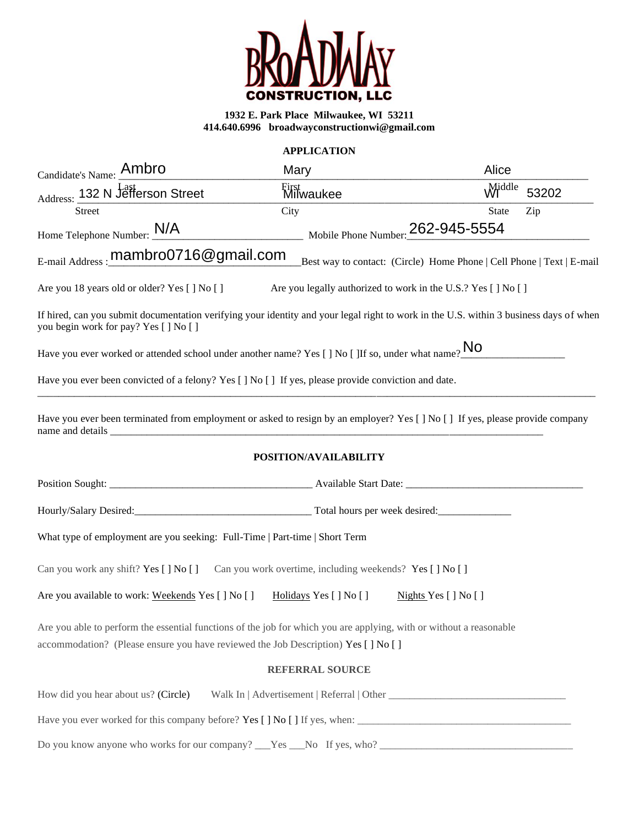

# **APPLICATION**

| Candidate's Name: Ambro                                                                                                                                                                                  | Mary                                                         | Alice                                                                 |
|----------------------------------------------------------------------------------------------------------------------------------------------------------------------------------------------------------|--------------------------------------------------------------|-----------------------------------------------------------------------|
| Address: 132 N Jefferson Street                                                                                                                                                                          | First<br>Milwaukee                                           | Middle<br>53202                                                       |
| <b>Street</b>                                                                                                                                                                                            | City                                                         | Zip<br><b>State</b>                                                   |
| Home Telephone Number: $\frac{N}{A}$                                                                                                                                                                     | Mobile Phone Number: 262-945-5554                            |                                                                       |
| E-mail Address: mambro0716@gmail.com                                                                                                                                                                     |                                                              | Best way to contact: (Circle) Home Phone   Cell Phone   Text   E-mail |
| Are you 18 years old or older? Yes [ ] No [ ]                                                                                                                                                            | Are you legally authorized to work in the U.S.? Yes [] No [] |                                                                       |
| If hired, can you submit documentation verifying your identity and your legal right to work in the U.S. within 3 business days of when<br>you begin work for pay? Yes [] No []                           |                                                              |                                                                       |
| Have you ever worked or attended school under another name? Yes [] No [] If so, under what name? $\frac{N}{N}$                                                                                           |                                                              |                                                                       |
| Have you ever been convicted of a felony? Yes [] No [] If yes, please provide conviction and date.                                                                                                       |                                                              |                                                                       |
| Have you ever been terminated from employment or asked to resign by an employer? Yes [] No [] If yes, please provide company                                                                             |                                                              |                                                                       |
|                                                                                                                                                                                                          | POSITION/AVAILABILITY                                        |                                                                       |
|                                                                                                                                                                                                          |                                                              |                                                                       |
|                                                                                                                                                                                                          |                                                              |                                                                       |
| What type of employment are you seeking: Full-Time   Part-time   Short Term                                                                                                                              |                                                              |                                                                       |
| Can you work any shift? Yes [] No [] Can you work overtime, including weekends? Yes [] No []                                                                                                             |                                                              |                                                                       |
| Are you available to work: Weekends Yes [] No []                                                                                                                                                         | Holidays Yes [] No []                                        | Nights Yes $[ ]$ No $[ ]$                                             |
| Are you able to perform the essential functions of the job for which you are applying, with or without a reasonable<br>accommodation? (Please ensure you have reviewed the Job Description) Yes [] No [] |                                                              |                                                                       |
|                                                                                                                                                                                                          | <b>REFERRAL SOURCE</b>                                       |                                                                       |
| How did you hear about us? (Circle)                                                                                                                                                                      |                                                              |                                                                       |
|                                                                                                                                                                                                          |                                                              |                                                                       |
| Do you know anyone who works for our company? Tes No If yes, who?                                                                                                                                        |                                                              |                                                                       |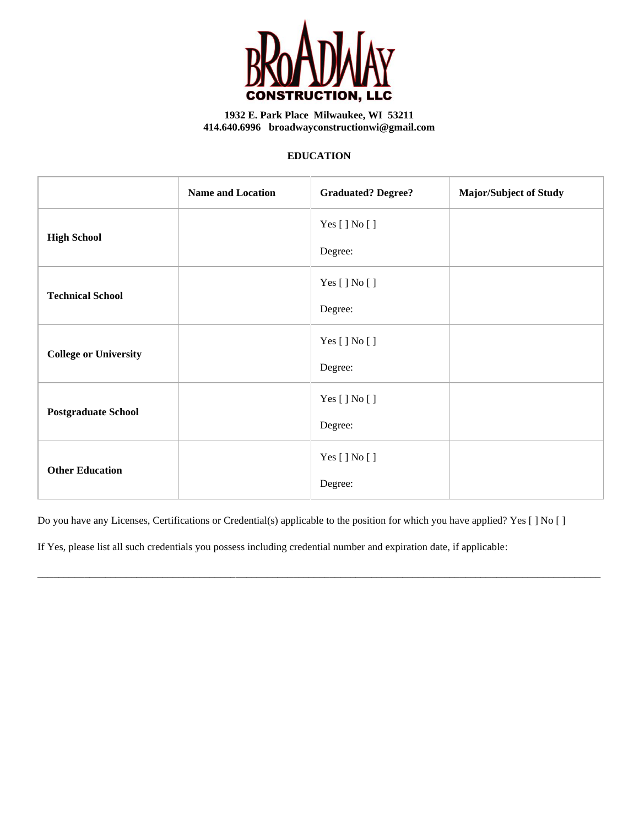

## **EDUCATION**

|                              | <b>Name and Location</b> | <b>Graduated? Degree?</b> | <b>Major/Subject of Study</b> |
|------------------------------|--------------------------|---------------------------|-------------------------------|
| <b>High School</b>           |                          | Yes [ ] No [ ]            |                               |
|                              |                          | Degree:                   |                               |
| <b>Technical School</b>      |                          | Yes [ ] No [ ]            |                               |
|                              |                          | Degree:                   |                               |
| <b>College or University</b> |                          | Yes [ ] No [ ]            |                               |
|                              |                          | Degree:                   |                               |
| <b>Postgraduate School</b>   |                          | Yes [ ] No [ ]            |                               |
|                              |                          | Degree:                   |                               |
| <b>Other Education</b>       |                          | Yes [ ] No [ ]            |                               |
|                              |                          | Degree:                   |                               |

Do you have any Licenses, Certifications or Credential(s) applicable to the position for which you have applied? Yes [ ] No [ ]

\_\_\_\_\_\_\_\_\_\_\_\_\_\_\_\_\_\_\_\_\_\_\_\_\_\_\_\_\_\_\_\_\_\_\_\_\_\_\_\_\_\_\_\_\_\_\_\_\_\_\_\_\_\_\_\_\_\_\_\_\_\_\_\_\_\_\_\_\_\_\_\_\_\_\_\_\_\_\_\_\_\_\_\_\_\_\_\_\_\_\_\_\_\_\_\_\_\_\_\_\_\_\_\_\_\_\_\_

If Yes, please list all such credentials you possess including credential number and expiration date, if applicable: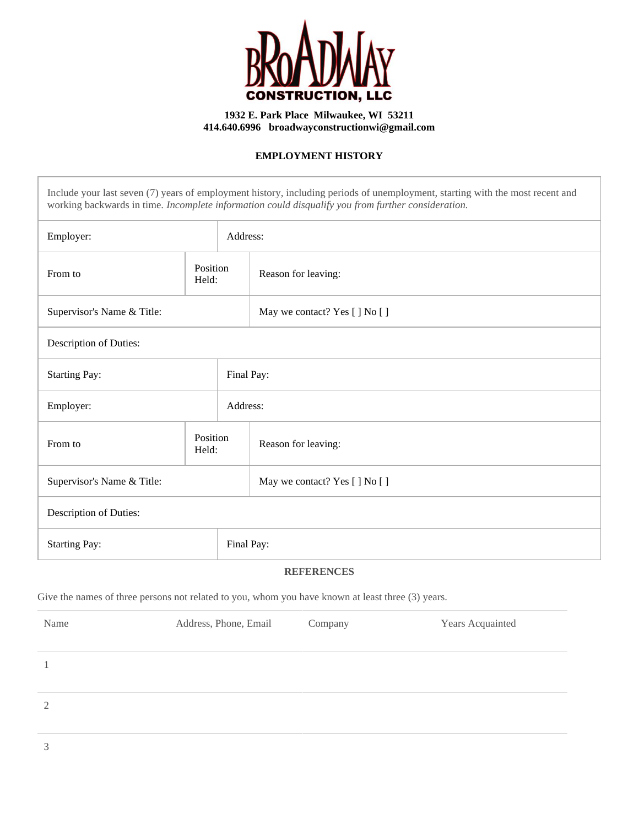

# **EMPLOYMENT HISTORY**

Include your last seven (7) years of employment history, including periods of unemployment, starting with the most recent and working backwards in time. *Incomplete information could disqualify you from further consideration.*

| Employer:                          |                   |  | Address:                       |  |
|------------------------------------|-------------------|--|--------------------------------|--|
| From to                            | Position<br>Held: |  | Reason for leaving:            |  |
| Supervisor's Name & Title:         |                   |  | May we contact? Yes [] No []   |  |
| Description of Duties:             |                   |  |                                |  |
| <b>Starting Pay:</b><br>Final Pay: |                   |  |                                |  |
| Employer:<br>Address:              |                   |  |                                |  |
| From to                            | Position<br>Held: |  | Reason for leaving:            |  |
| Supervisor's Name & Title:         |                   |  | May we contact? Yes [ ] No [ ] |  |
| Description of Duties:             |                   |  |                                |  |
| Final Pay:<br><b>Starting Pay:</b> |                   |  |                                |  |

## **REFERENCES**

Give the names of three persons not related to you, whom you have known at least three (3) years.

| Name | Address, Phone, Email | Company | Years Acquainted |
|------|-----------------------|---------|------------------|
|      |                       |         |                  |
| 2    |                       |         |                  |
|      |                       |         |                  |